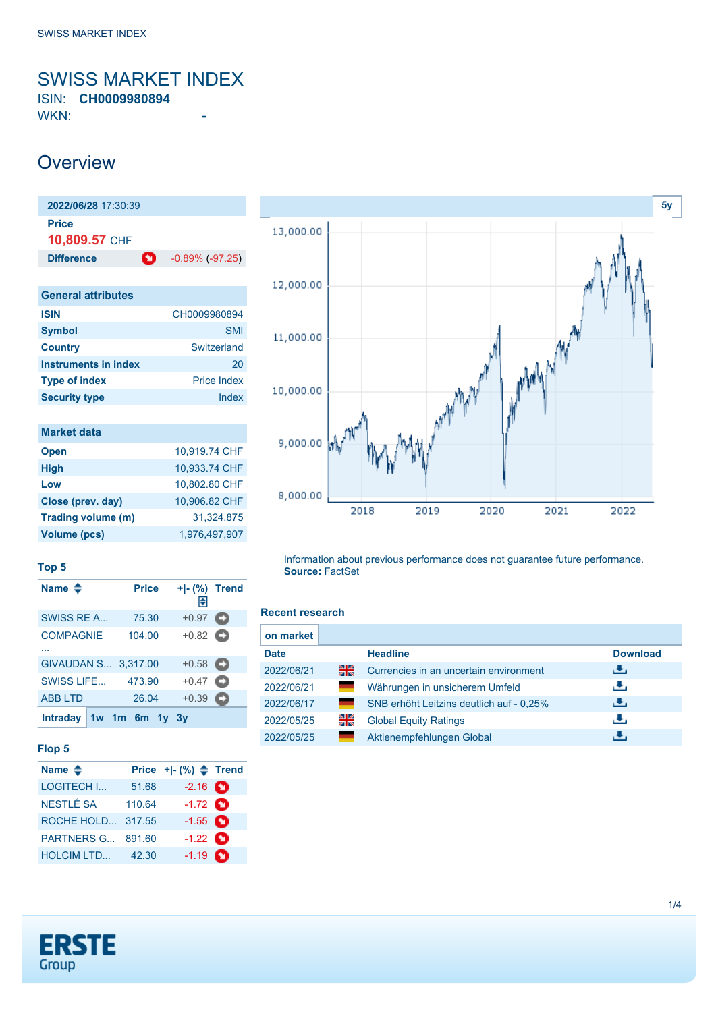# <span id="page-0-0"></span>SWISS MARKET INDEX

ISIN: **CH0009980894** WKN: **-**

## **Overview**

| 2022/06/28 17:30:39       |                      |
|---------------------------|----------------------|
| Price<br>10,809.57 CHF    |                      |
| o<br><b>Difference</b>    | $-0.89\%$ $(-97.25)$ |
|                           |                      |
| <b>General attributes</b> |                      |
| <b>ISIN</b>               | CH0009980894         |
| <b>Symbol</b>             | <b>SMI</b>           |
| <b>Country</b>            | Switzerland          |
| Instruments in index      | 20                   |

| <b>Type of index</b> | <b>Price Index</b> |
|----------------------|--------------------|
| <b>Security type</b> | Index              |
|                      |                    |
| <b>Market data</b>   |                    |
| <b>Open</b>          | 10,919.74 CHF      |
| <b>High</b>          | 10,933.74 CHF      |

| Low                 | 10,802.80 CHF |
|---------------------|---------------|
| Close (prev. day)   | 10.906.82 CHF |
| Trading volume (m)  | 31.324.875    |
| <b>Volume (pcs)</b> | 1,976,497,907 |
|                     |               |



#### **Top 5**

| Name $\triangle$       | <b>Price</b> | +1- (%) Trend<br>圍 |   |
|------------------------|--------------|--------------------|---|
| SWISS RE A             | 75.30        | $+0.97$            | o |
| <b>COMPAGNIE</b>       | 104.00       | $+0.82$ $\bullet$  |   |
|                        |              |                    |   |
| GIVAUDAN S 3,317.00    |              | $+0.58$ $\Box$     |   |
| SWISS LIFE             | 473.90       | $+0.47$ $\Box$     |   |
| <b>ABB LTD</b>         | 26.04        | $+0.39$            | o |
| Intraday   1w 1m 6m 1y |              | <b>3</b> V         |   |

### **Flop 5**

| Name $\triangleq$ |        | Price $+$ $ (%)$ $\triangle$ Trend |  |
|-------------------|--------|------------------------------------|--|
| <b>LOGITECH I</b> | 51.68  | $-2.16$ $\bullet$                  |  |
| <b>NESTLÉ SA</b>  | 110.64 | $-1.72$ $\bullet$                  |  |
| ROCHE HOLD 317.55 |        | $-1.55$ $\bullet$                  |  |
| <b>PARTNERS G</b> | 891.60 | $-1.22$ $\bullet$                  |  |
| <b>HOLCIM LTD</b> | 42.30  | $-1.19$ $\bullet$                  |  |

#### Information about previous performance does not guarantee future performance. **Source:** FactSet

### **Recent research**

| on market   |              |                                          |                 |
|-------------|--------------|------------------------------------------|-----------------|
| <b>Date</b> |              | <b>Headline</b>                          | <b>Download</b> |
| 2022/06/21  | 을            | Currencies in an uncertain environment   | رائي            |
| 2022/06/21  | <b>START</b> | Währungen in unsicherem Umfeld           | راق             |
| 2022/06/17  |              | SNB erhöht Leitzins deutlich auf - 0.25% | رالى            |
| 2022/05/25  | 꾉뚢           | <b>Global Equity Ratings</b>             | راق             |
| 2022/05/25  |              | Aktienempfehlungen Global                | υ.              |

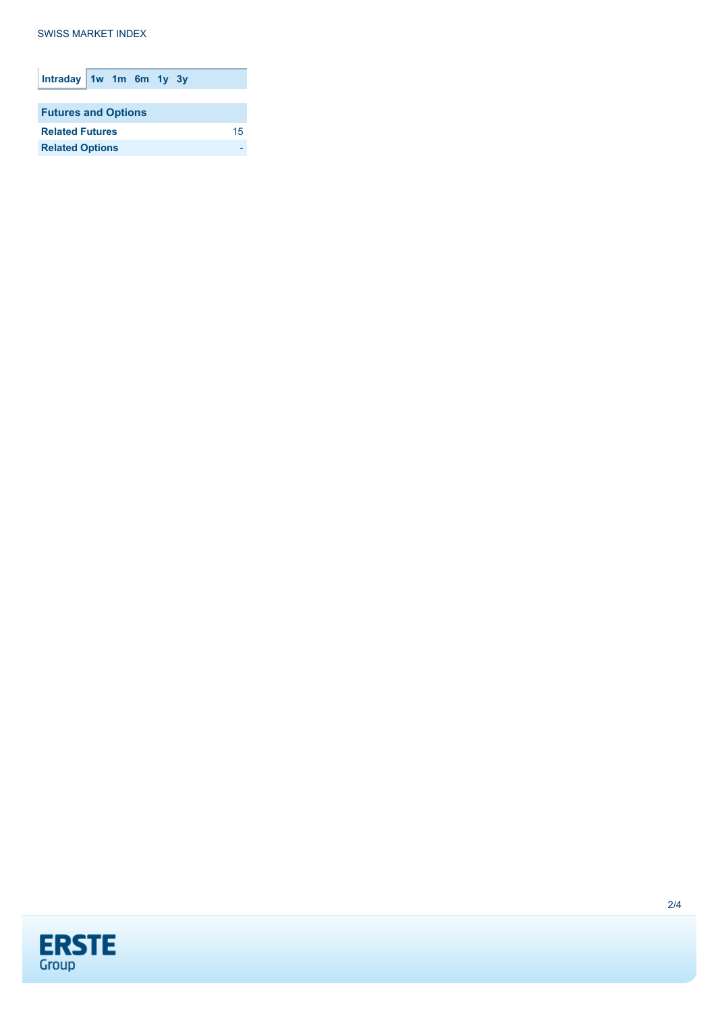**SWISS MARKET INDEX** 

| Intraday $1w$ 1m 6m 1y 3y  |  |  |    |
|----------------------------|--|--|----|
|                            |  |  |    |
| <b>Futures and Options</b> |  |  |    |
| <b>Related Futures</b>     |  |  | 15 |
| <b>Related Options</b>     |  |  |    |
|                            |  |  |    |

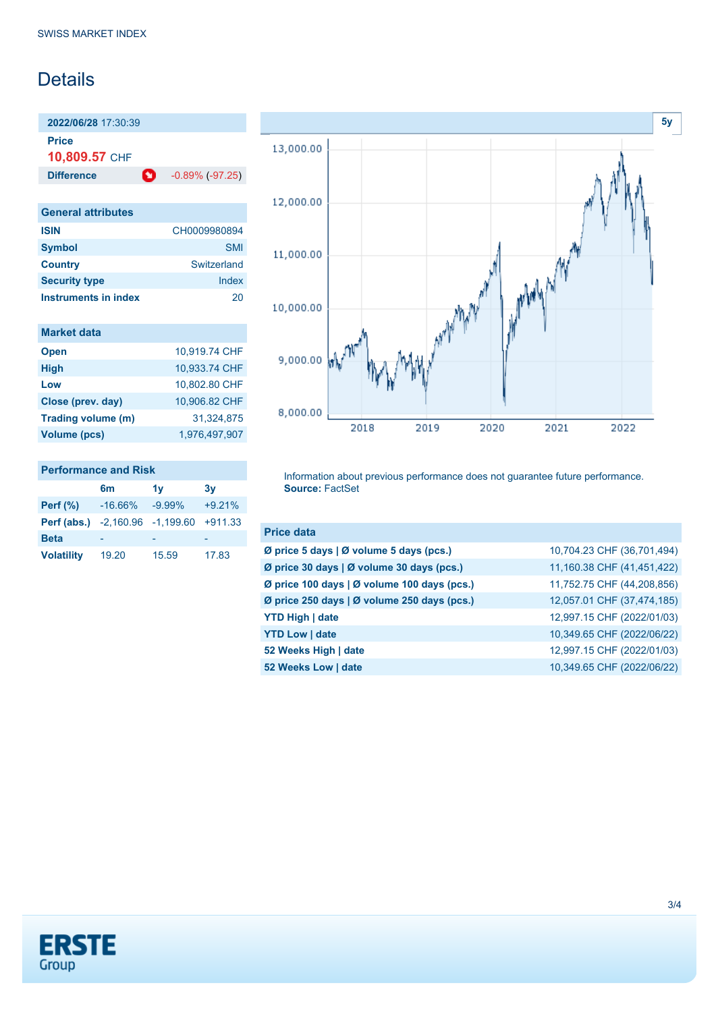## **Details**

**2022/06/28** 17:30:39 **Price**

**10,809.57** CHF

**Difference 1** -0.89% (-97.25)

| <b>General attributes</b>   |              |
|-----------------------------|--------------|
| <b>ISIN</b>                 | CH0009980894 |
| <b>Symbol</b>               | <b>SMI</b>   |
| <b>Country</b>              | Switzerland  |
| <b>Security type</b>        | Index        |
| <b>Instruments in index</b> | ンロ           |

| <b>Market data</b> |  |  |  |
|--------------------|--|--|--|
|                    |  |  |  |
|                    |  |  |  |

| <b>Open</b>         | 10,919.74 CHF |
|---------------------|---------------|
| <b>High</b>         | 10.933.74 CHF |
| Low                 | 10,802.80 CHF |
| Close (prev. day)   | 10,906.82 CHF |
| Trading volume (m)  | 31.324.875    |
| <b>Volume (pcs)</b> | 1,976,497,907 |
|                     |               |

| <b>Performance and Risk</b>     |                |           |           |  |
|---------------------------------|----------------|-----------|-----------|--|
|                                 | 6 <sub>m</sub> | 1v        | 3v        |  |
| <b>Perf (%)</b>                 | $-16.66\%$     | $-9.99\%$ | $+9.21%$  |  |
| Perf (abs.) -2,160.96 -1,199.60 |                |           | $+911.33$ |  |
| <b>Beta</b>                     |                |           |           |  |
| <b>Volatility</b>               | 19.20          | 15.59     | 17.83     |  |



Information about previous performance does not guarantee future performance. **Source:** FactSet

| <b>Price data</b>                           |                            |
|---------------------------------------------|----------------------------|
| Ø price 5 days   Ø volume 5 days (pcs.)     | 10,704.23 CHF (36,701,494) |
| Ø price 30 days   Ø volume 30 days (pcs.)   | 11,160.38 CHF (41,451,422) |
| Ø price 100 days   Ø volume 100 days (pcs.) | 11,752.75 CHF (44,208,856) |
| Ø price 250 days   Ø volume 250 days (pcs.) | 12,057.01 CHF (37,474,185) |
| <b>YTD High   date</b>                      | 12,997.15 CHF (2022/01/03) |
| <b>YTD Low   date</b>                       | 10,349.65 CHF (2022/06/22) |
| 52 Weeks High   date                        | 12,997.15 CHF (2022/01/03) |
| 52 Weeks Low   date                         | 10,349.65 CHF (2022/06/22) |